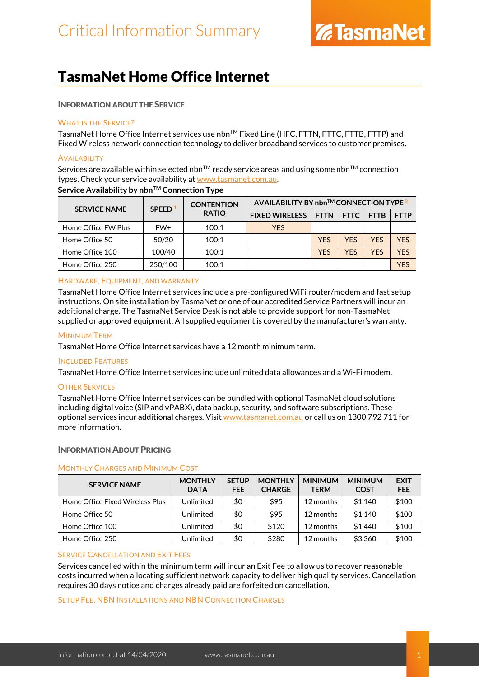### TasmaNet Home Office Internet

#### INFORMATION ABOUT THE SERVICE

#### WHAT IS THE SERVICE?

TasmaNet Home Office Internet services use nbn™ Fixed Line (HFC, FTTN, FTTC, FTTB, FTTP) and Fixed Wireless network connection technology to deliver broadband services to customer premises.

#### **AVAILABILITY**

Services are available within selected nbn<sup>TM</sup> ready service areas and using some nbn<sup>TM</sup> connection types. Check your service availability at [www.tasmanet.com.au.](https://www.tasmanet.com.au/)

| <b>SERVICE NAME</b> | <b>SPEED</b> | <b>CONTENTION</b><br><b>RATIO</b> | AVAILABILITY BY nbn <sup>TM</sup> CONNECTION TYPE $2$ |             |             |             |             |
|---------------------|--------------|-----------------------------------|-------------------------------------------------------|-------------|-------------|-------------|-------------|
|                     |              |                                   | <b>FIXED WIRELESS</b>                                 | <b>FTTN</b> | <b>FTTC</b> | <b>FTTB</b> | <b>FTTP</b> |
| Home Office FW Plus | FW+          | 100:1                             | <b>YES</b>                                            |             |             |             |             |
| Home Office 50      | 50/20        | 100:1                             |                                                       | <b>YES</b>  | <b>YFS</b>  | <b>YES</b>  | <b>YFS</b>  |
| Home Office 100     | 100/40       | 100:1                             |                                                       | <b>YES</b>  | <b>YFS</b>  | <b>YFS</b>  | YFS         |
| Home Office 250     | 250/100      | 100:1                             |                                                       |             |             |             | YFS         |

#### **Service Availability by nbnTM Connection Type**

#### HARDWARE, EQUIPMENT, AND WARRANTY

TasmaNet Home Office Internet services include a pre-configured WiFi router/modem and fast setup instructions. On site installation by TasmaNet or one of our accredited Service Partners will incur an additional charge. The TasmaNet Service Desk is not able to provide support for non-TasmaNet supplied or approved equipment. All supplied equipment is covered by the manufacturer's warranty.

#### MINIMUM TERM

TasmaNet Home Office Internet services have a 12 month minimum term.

#### INCLUDED FEATURES

TasmaNet Home Office Internet services include unlimited data allowances and a Wi-Fi modem.

#### OTHER SERVICES

TasmaNet Home Office Internet services can be bundled with optional TasmaNet cloud solutions including digital voice (SIP and vPABX), data backup, security, and software subscriptions. These optional services incur additional charges. Visi[t www.tasmanet.com.au](http://www.tasmanet.com.au/) or call us on 1300 792 711 for more information.

#### INFORMATION ABOUT PRICING

#### MONTHLY CHARGES AND MINIMUM COST

| <b>SERVICE NAME</b>             | <b>MONTHLY</b><br><b>DATA</b> | <b>SETUP</b><br><b>FEE</b> | <b>MONTHLY</b><br><b>CHARGE</b> | <b>MINIMUM</b><br><b>TERM</b> | <b>MINIMUM</b><br><b>COST</b> | <b>EXIT</b><br><b>FEE</b> |
|---------------------------------|-------------------------------|----------------------------|---------------------------------|-------------------------------|-------------------------------|---------------------------|
| Home Office Fixed Wireless Plus | Unlimited                     | \$0                        | \$95                            | 12 months                     | \$1.140                       | \$100                     |
| Home Office 50                  | Unlimited                     | \$0                        | \$95                            | 12 months                     | \$1.140                       | \$100                     |
| Home Office 100                 | Unlimited                     | \$0                        | \$120                           | 12 months                     | \$1,440                       | \$100                     |
| Home Office 250                 | Unlimited                     | \$0                        | \$280                           | 12 months                     | \$3,360                       | \$100                     |

#### SERVICE CANCELLATION AND EXIT FEES

Services cancelled within the minimum term will incur an Exit Fee to allow us to recover reasonable costs incurred when allocating sufficient network capacity to deliver high quality services. Cancellation requires 30 days notice and charges already paid are forfeited on cancellation.

#### SETUP FEE, NBN INSTALLATIONS AND NBN CONNECTION CHARGES